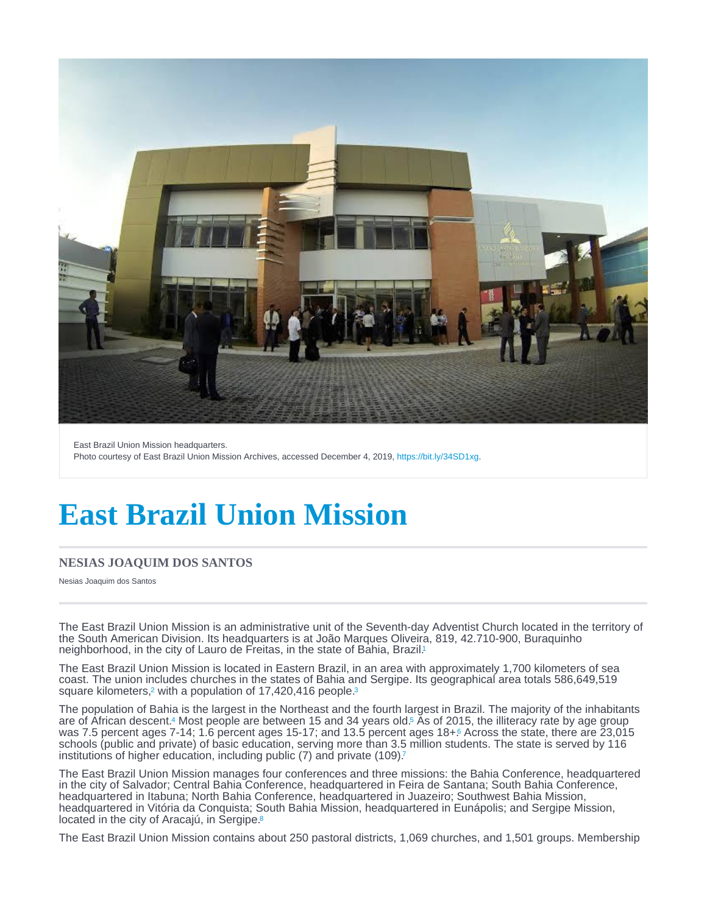<span id="page-0-0"></span>East Brazil Union Mission headquarters. Photo courtesy of East Brazil Union Mission Archives, accessed December 4, 2019, [https://bit.ly/34SD1xg.](https://bit.ly/34SD1xg)

# East Brazil Union Mission

### NESIAS JOAQUIM DOS SANTOS

Nesias Joaquim dos Santos

The East Brazil Union Mission is an administrative unit of the Seventh-day Adventist Church located in the territory of the South American Division. Its headquarters is at João Marques Oliveira, 819, 42.710-900, Buraquinho neighborhood, in the city of Lauro de Freitas, in the state of Bahia, Brazil.<sup>[1](#page-3-0)</sup>

The East Brazil Union Mission is located in Eastern Brazil, in an area with approximately 1,700 kilometers of sea coast. The union includes churches in the states of Bahia and Sergipe. Its geographical area totals 586,649,519 square kilometers[,](#page-3-0)<sup>2</sup> with a population of  $17,420,416$  people.<sup>[3](#page-3-0)</sup>

The population of Bahia is the largest in the Northeast and the fourth largest in Brazil. The majority of the inhabitants are of African descent[.](#page-3-0)<sup>4</sup> Most people are between 15 and 34 years old.<sup>5</sup> As of 2015, the illiteracy rate by age group was 7[.](#page-3-0)5 percent ages 7-14; 1.6 percent ages 15-17; and 13.5 percent ages 18+ $\frac{6}{1}$  Across the state, there are 23,015 schools (public and private) of basic education, serving more than 3.5 million students. The state is served by 116 institutions of higher education, including public ([7](#page-3-0)) and private (109)?

The East Brazil Union Mission manages four conferences and three missions: the Bahia Conference, headquartered in the city of Salvador; Central Bahia Conference, headquartered in Feira de Santana; South Bahia Conference, headquartered in Itabuna; North Bahia Conference, headquartered in Juazeiro; Southwest Bahia Mission, headquartered in Vitória da Conquista; South Bahia Mission, headquartered in Eunápolis; and Sergipe Mission, located in the city of Aracajú, in Sergipe.[8](#page-3-0)

The East Brazil Union Mission contains about 250 pastoral districts, 1,069 churches, and 1,501 groups. Membership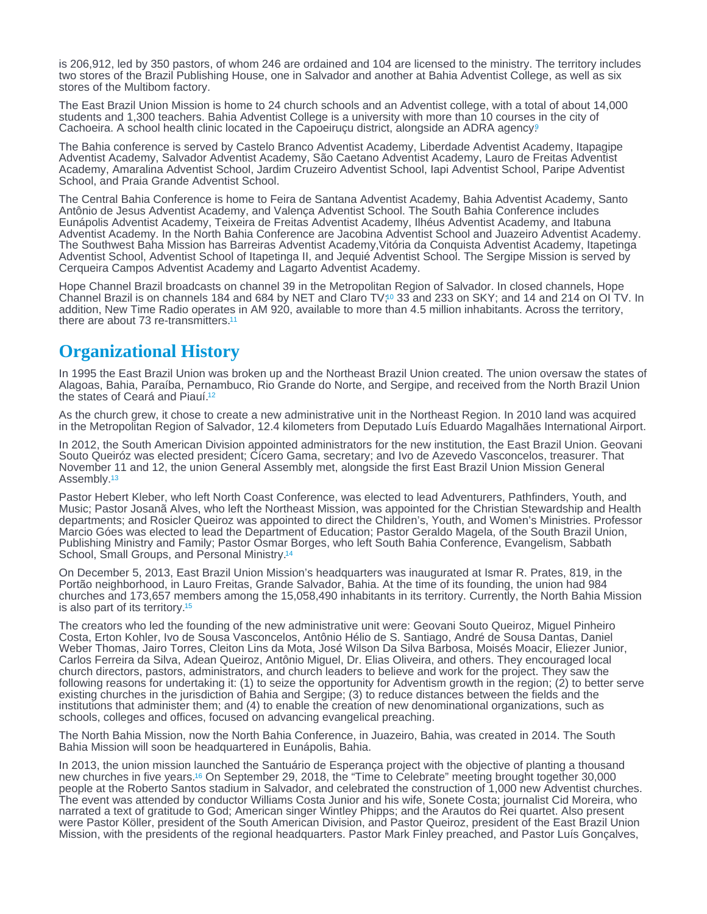<span id="page-1-0"></span>is 206,912, led by 350 pastors, of whom 246 are ordained and 104 are licensed to the ministry. The territory includes two stores of the Brazil Publishing House, one in Salvador and another at Bahia Adventist College, as well as six stores of the Multibom factory.

The East Brazil Union Mission is home to 24 church schools and an Adventist college, with a total of about 14,000 students and 1,300 teachers. Bahia Adventist College is a university with more than 10 courses in the city of Cachoeira. A school health clinic located in the Capoeirucu district, alongside an ADRA agency.<sup>[9](#page-3-0)</sup>

The Bahia conference is served by Castelo Branco Adventist Academy, Liberdade Adventist Academy, Itapagipe Adventist Academy, Salvador Adventist Academy, São Caetano Adventist Academy, Lauro de Freitas Adventist Academy, Amaralina Adventist School, Jardim Cruzeiro Adventist School, Iapi Adventist School, Paripe Adventist School, and Praia Grande Adventist School.

The Central Bahia Conference is home to Feira de Santana Adventist Academy, Bahia Adventist Academy, Santo Antônio de Jesus Adventist Academy, and Valença Adventist School. The South Bahia Conference includes Eunápolis Adventist Academy, Teixeira de Freitas Adventist Academy, Ilhéus Adventist Academy, and Itabuna Adventist Academy. In the North Bahia Conference are Jacobina Adventist School and Juazeiro Adventist Academy. The Southwest Baha Mission has Barreiras Adventist Academy,Vitória da Conquista Adventist Academy, Itapetinga Adventist School, Adventist School of Itapetinga II, and Jequié Adventist School. The Sergipe Mission is served by Cerqueira Campos Adventist Academy and Lagarto Adventist Academy.

Hope Channel Brazil broadcasts on channel 39 in the Metropolitan Region of Salvador. In closed channels, Hope Channel Brazil is on channels 184 and 684 by NET and Claro TV[;](#page-3-0)<sup>10</sup> 33 and 233 on SKY; and 14 and 214 on OI TV. In addition, New Time Radio operates in AM 920, available to more than 4.5 million inhabitants. Across the territory, there are about 73 re-transmitters.<sup>[11](#page-4-0)</sup>

# Organizational History

In 1995 the East Brazil Union was broken up and the Northeast Brazil Union created. The union oversaw the states of Alagoas, Bahia, Paraíba, Pernambuco, Rio Grande do Norte, and Sergipe, and received from the North Brazil Union the states of Ceará and Piauí.<sup>[12](#page-4-0)</sup>

As the church grew, it chose to create a new administrative unit in the Northeast Region. In 2010 land was acquired in the Metropolitan Region of Salvador, 12.4 kilometers from Deputado Luís Eduardo Magalhães International Airport.

In 2012, the South American Division appointed administrators for the new institution, the East Brazil Union. Geovani Souto Queiróz was elected president; Cícero Gama, secretary; and Ivo de Azevedo Vasconcelos, treasurer. That November 11 and 12, the union General Assembly met, alongside the first East Brazil Union Mission General Assembly.<sup>[13](#page-4-0)</sup>

Pastor Hebert Kleber, who left North Coast Conference, was elected to lead Adventurers, Pathfinders, Youth, and Music; Pastor Josanã Alves, who left the Northeast Mission, was appointed for the Christian Stewardship and Health departments; and Rosicler Queiroz was appointed to direct the Children's, Youth, and Women's Ministries. Professor Marcio Góes was elected to lead the Department of Education; Pastor Geraldo Magela, of the South Brazil Union, Publishing Ministry and Family; Pastor Osmar Borges, who left South Bahia Conference, Evangelism, Sabbath School, Small Groups, and Personal Ministry.[14](#page-4-0)

On December 5, 2013, East Brazil Union Mission's headquarters was inaugurated at Ismar R. Prates, 819, in the Portão neighborhood, in Lauro Freitas, Grande Salvador, Bahia. At the time of its founding, the union had 984 churches and 173,657 members among the 15,058,490 inhabitants in its territory. Currently, the North Bahia Mission is also part of its territory.[15](#page-4-0)

The creators who led the founding of the new administrative unit were: Geovani Souto Queiroz, Miguel Pinheiro Costa, Erton Kohler, Ivo de Sousa Vasconcelos, Antônio Hélio de S. Santiago, André de Sousa Dantas, Daniel Weber Thomas, Jairo Torres, Cleiton Lins da Mota, José Wilson Da Silva Barbosa, Moisés Moacir, Eliezer Junior, Carlos Ferreira da Silva, Adean Queiroz, Antônio Miguel, Dr. Elias Oliveira, and others. They encouraged local church directors, pastors, administrators, and church leaders to believe and work for the project. They saw the following reasons for undertaking it: (1) to seize the opportunity for Adventism growth in the region; (2) to better serve existing churches in the jurisdiction of Bahia and Sergipe; (3) to reduce distances between the fields and the institutions that administer them; and (4) to enable the creation of new denominational organizations, such as schools, colleges and offices, focused on advancing evangelical preaching.

The North Bahia Mission, now the North Bahia Conference, in Juazeiro, Bahia, was created in 2014. The South Bahia Mission will soon be headquartered in Eunápolis, Bahia.

In 2013, the union mission launched the Santuário de Esperança project with the objective of planting a thousand new churches in five years[.](#page-4-0)<sup>16</sup> On September 29, 2018, the "Time to Celebrate" meeting brought together 30,000 people at the Roberto Santos stadium in Salvador, and celebrated the construction of 1,000 new Adventist churches. The event was attended by conductor Williams Costa Junior and his wife, Sonete Costa; journalist Cid Moreira, who narrated a text of gratitude to God; American singer Wintley Phipps; and the Arautos do Rei quartet. Also present were Pastor Köller, president of the South American Division, and Pastor Queiroz, president of the East Brazil Union Mission, with the presidents of the regional headquarters. Pastor Mark Finley preached, and Pastor Luís Gonçalves,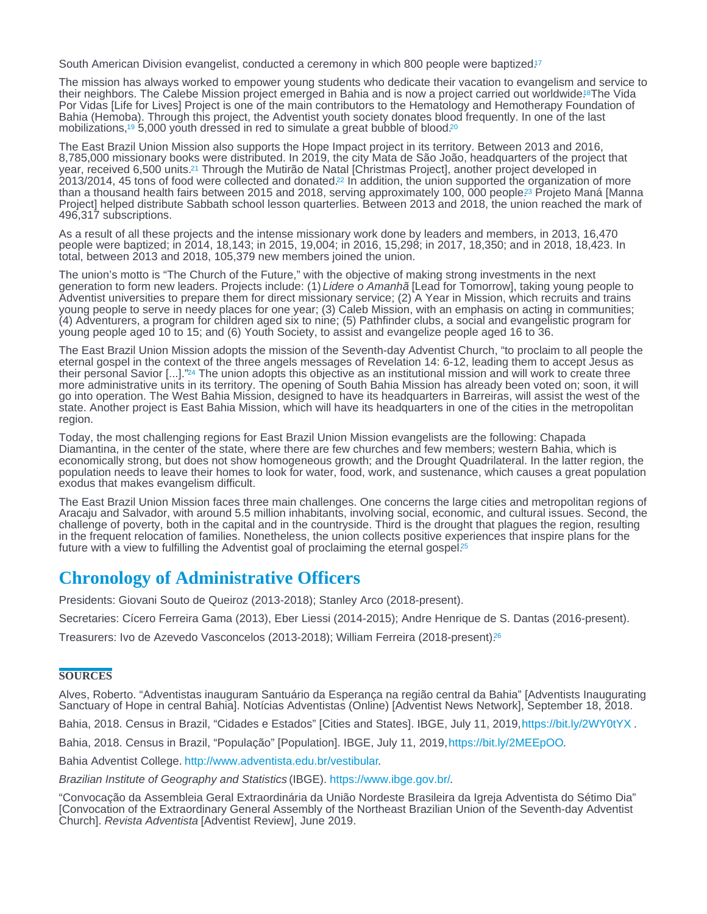<span id="page-2-0"></span>South American Division evangelist, conducted a ceremony in which 800 people were baptized.<sup>[17](#page-4-0)</sup>

The mission has always worked to empower young students who dedicate their vacation to evangelism and service to their neighbors. The Calebe Mission project emerged in Bahia and is now a project carried out worldwide.<sup>8</sup>The Vida Por Vidas [Life for Lives] Project is one of the main contributors to the Hematology and Hemotherapy Foundation of Bahia (Hemoba). Through this project, the Adventist youth society donates blood frequently. In one of the last mobilizations,<sup>19</sup> 5,000 youth dressed in red to simulate a great bubble of blood.<sup>[20](#page-4-0)</sup>

The East Brazil Union Mission also supports the Hope Impact project in its territory. Between 2013 and 2016, 8,785,000 missionary books were distributed. In 2019, the city Mata de São João, headquarters of the project that year, received 6,500 units[.](#page-4-0)<sup>21</sup> Through the Mutirão de Natal [Christmas Project], another project developed in 2013/2014, 45 tons of food were collected and donated[.](#page-4-0)<sup>22</sup> In addition, the union supported the organization of more than a thousand health fairs between 2015 and 2018, serving approximately 100, 000 people.<sup>23</sup> Projeto Maná [Manna Project] helped distribute Sabbath school lesson quarterlies. Between 2013 and 2018, the union reached the mark of 496,317 subscriptions.

As a result of all these projects and the intense missionary work done by leaders and members, in 2013, 16,470 people were baptized; in 2014, 18,143; in 2015, 19,004; in 2016, 15,298; in 2017, 18,350; and in 2018, 18,423. In total, between 2013 and 2018, 105,379 new members joined the union.

The union's motto is "The Church of the Future," with the objective of making strong investments in the next generation to form new leaders. Projects include: (1) Lidere o Amanhã [Lead for Tomorrow], taking young people to Adventist universities to prepare them for direct missionary service; (2) A Year in Mission, which recruits and trains young people to serve in needy places for one year; (3) Caleb Mission, with an emphasis on acting in communities; (4) Adventurers, a program for children aged six to nine; (5) Pathfinder clubs, a social and evangelistic program for young people aged 10 to 15; and (6) Youth Society, to assist and evangelize people aged 16 to 36.

The East Brazil Union Mission adopts the mission of the Seventh-day Adventist Church, "to proclaim to all people the eternal gospel in the context of the three angels messages of Revelation 14: 6-12, leading them to accept Jesus as their personal Savior [...].["](#page-4-0)<sup>24</sup> The union adopts this objective as an institutional mission and will work to create three more administrative units in its territory. The opening of South Bahia Mission has already been voted on; soon, it will go into operation. The West Bahia Mission, designed to have its headquarters in Barreiras, will assist the west of the state. Another project is East Bahia Mission, which will have its headquarters in one of the cities in the metropolitan region.

Today, the most challenging regions for East Brazil Union Mission evangelists are the following: Chapada Diamantina, in the center of the state, where there are few churches and few members; western Bahia, which is economically strong, but does not show homogeneous growth; and the Drought Quadrilateral. In the latter region, the population needs to leave their homes to look for water, food, work, and sustenance, which causes a great population exodus that makes evangelism difficult.

The East Brazil Union Mission faces three main challenges. One concerns the large cities and metropolitan regions of Aracaju and Salvador, with around 5.5 million inhabitants, involving social, economic, and cultural issues. Second, the challenge of poverty, both in the capital and in the countryside. Third is the drought that plagues the region, resulting in the frequent relocation of families. Nonetheless, the union collects positive experiences that inspire plans for the future with a view to fulfilling the Adventist goal of proclaiming the eternal gospel.<sup>[25](#page-4-0)</sup>

## Chronology of Administrative Officers

Presidents: Giovani Souto de Queiroz (2013-2018); Stanley Arco (2018-present).

Secretaries: Cícero Ferreira Gama (2013), Eber Liessi (2014-2015); Andre Henrique de S. Dantas (2016-present).

Treasurers: Ivo de Azevedo Vasconcelos (2013-2018); William Ferreira (2018-present).[26](#page-4-0)

#### **SOURCES**

Alves, Roberto. "Adventistas inauguram Santuário da Esperança na região central da Bahia" [Adventists Inaugurating Sanctuary of Hope in central Bahia]. Notícias Adventistas (Online) [Adventist News Network], September 18, 2018.

Bahia, 2018. Census in Brazil, "Cidades e Estados" [Cities and States]. IBGE, July 11, 2019, [https://bit.ly/2WY0tYX]( https://bit.ly/2WY0tYX ) .

Bahia, 2018. Census in Brazil, "População" [Population]. IBGE, July 11, 2019, [https://bit.ly/2MEEpOO.](https://bit.ly/2MEEpOO)

Bahia Adventist College.<http://www.adventista.edu.br/vestibular>.

Brazilian Institute of Geography and Statistics (IBGE). [https://www.ibge.gov.br/.](https://www.ibge.gov.br/)

"Convocação da Assembleia Geral Extraordinária da União Nordeste Brasileira da Igreja Adventista do Sétimo Dia" [Convocation of the Extraordinary General Assembly of the Northeast Brazilian Union of the Seventh-day Adventist Church]. Revista Adventista [Adventist Review], June 2019.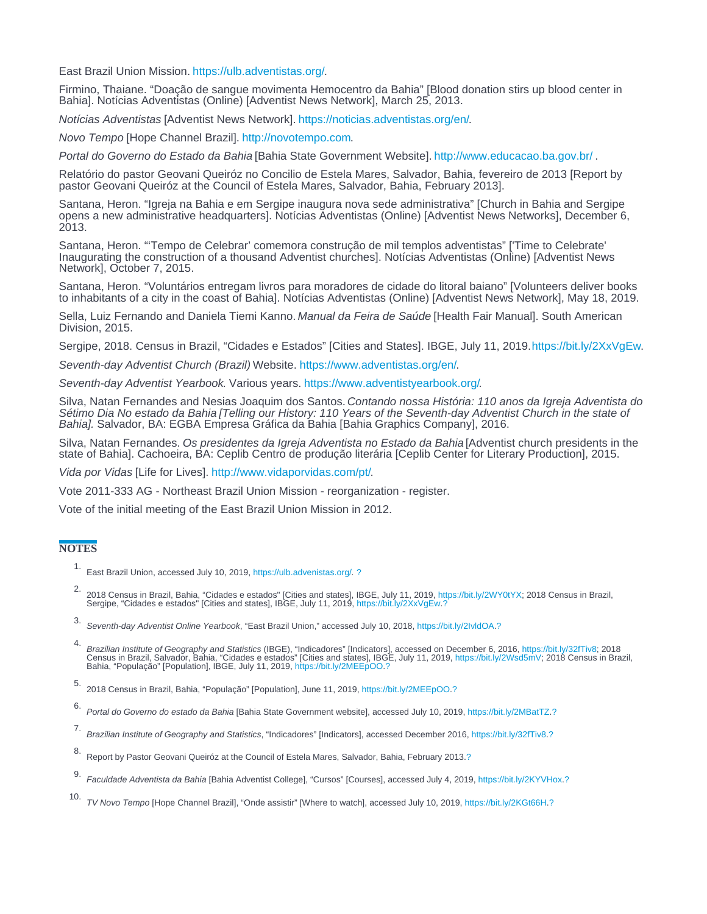<span id="page-3-0"></span>East Brazil Union Mission. [https://ulb.adventistas.org/.](https://ulb.adventistas.org/)

Firmino, Thaiane. "Doação de sangue movimenta Hemocentro da Bahia" [Blood donation stirs up blood center in Bahia]. Notícias Adventistas (Online) [Adventist News Network], March 25, 2013.

Notícias Adventistas [Adventist News Network]. [https://noticias.adventistas.org/en/.](https://noticias.adventistas.org/en/)

Novo Tempo [Hope Channel Brazil]. [http://novotempo.com.](http://novotempo.com)

Portal do Governo do Estado da Bahia [Bahia State Government Website].<http://www.educacao.ba.gov.br/>.

Relatório do pastor Geovani Queiróz no Concilio de Estela Mares, Salvador, Bahia, fevereiro de 2013 [Report by pastor Geovani Queiróz at the Council of Estela Mares, Salvador, Bahia, February 2013].

Santana, Heron. "Igreja na Bahia e em Sergipe inaugura nova sede administrativa" [Church in Bahia and Sergipe opens a new administrative headquarters]. Notícias Adventistas (Online) [Adventist News Networks], December 6, 2013.

Santana, Heron. "'Tempo de Celebrar' comemora construção de mil templos adventistas" ['Time to Celebrate' Inaugurating the construction of a thousand Adventist churches]. Notícias Adventistas (Online) [Adventist News Network], October 7, 2015.

Santana, Heron. "Voluntários entregam livros para moradores de cidade do litoral baiano" [Volunteers deliver books to inhabitants of a city in the coast of Bahia]. Notícias Adventistas (Online) [Adventist News Network], May 18, 2019.

Sella, Luiz Fernando and Daniela Tiemi Kanno. Manual da Feira de Saúde [Health Fair Manual]. South American Division, 2015.

Sergipe, 2018. Census in Brazil, "Cidades e Estados" [Cities and States]. IBGE, July 11, 2019. [https://bit.ly/2XxVgEw]( https://bit.ly/2XxVgEw).

Seventh-day Adventist Church (Brazil) Website. <https://www.adventistas.org/en/>.

Seventh-day Adventist Yearbook. Various years.<https://www.adventistyearbook.org/>.

Silva, Natan Fernandes and Nesias Joaquim dos Santos. Contando nossa História: 110 anos da Igreja Adventista do Sétimo Dia No estado da Bahia [Telling our History: 110 Years of the Seventh-day Adventist Church in the state of Bahia]. Salvador, BA: EGBA Empresa Gráfica da Bahia [Bahia Graphics Company], 2016.

Silva, Natan Fernandes. Os presidentes da Igreja Adventista no Estado da Bahia [Adventist church presidents in the state of Bahia]. Cachoeira, BA: Ceplib Centro de produção literária [Ceplib Center for Literary Production], 2015.

Vida por Vidas [Life for Lives]. [http://www.vidaporvidas.com/pt/.](http://www.vidaporvidas.com/pt/)

Vote 2011-333 AG - Northeast Brazil Union Mission - reorganization - register.

Vote of the initial meeting of the East Brazil Union Mission in 2012.

### **NOTES**

- 1. East Brazil Union, accessed July 10, 2019, [https://ulb.advenistas.org/.](https://ulb.advenistas.org/) [?](#page-0-0)
- 2.<br>2018 Census in Brazil, Bahia, "Cidades e estados" [Cities and states], IBGE, July 11, 2019, https://bit.ly/2WY0tYX; 2018 Census in Brazil,<br>Sergipe, "Cidades e estados" [Cities and states], IBGE, July 11, 2019, https://b
- 3. Seventh-day Adventist Online Yearbook, "East Brazil Union," accessed July 10, 2018,<https://bit.ly/2IvldOA>[.?](#page-0-0)
- 4. Brazilian Institute of Geography and Statistics (IBGE), "Indicadores" [Indicators], accessed on December 6, 2016, https://bit.ly/32fTiv8; 2018 Census in Brazil, Salvador, Bahia, "Cidades e estados" [Cities and states], IBGE, July 11, 2019, https://bit[.](https://bit.ly/2MEEpOO)ly/2Wsd5mV; 2018 Census in Brazil,<br>Bahia, "População" [Population], IBGE, July 11, 2019, https://bit.ly/2MEEpOO.[?](#page-0-0)
- 5. 2018 Census in Brazil, Bahia, "População" [Population], June 11, 2019, [https://bit.ly/2MEEpOO.](https://bit.ly/2MEEpOO)[?](#page-0-0)
- 6. Portal do Governo do estado da Bahia [Bahia State Government website], accessed July 10, 2019,<https://bit.ly/2MBatTZ>[.?](#page-0-0)
- 7. Brazilian Institute of Geography and Statistics, "Indicadores" [Indicators], accessed December 2016, <https://bit.ly/32fTiv8>[.?](#page-0-0)
- 8. Report by Pastor Geovani Queiróz at the Council of Estela Mares, Salvador, Bahia, February 2013.[?](#page-0-0)
- 9. Faculdade Adventista da Bahia [Bahia Adventist College], "Cursos" [Courses], accessed July 4, 2019, [https://bit.ly/2KYVHox.](https://bit.ly/2KYVHox)[?](#page-1-0)
- 10. TV Novo Tempo [Hope Channel Brazil], "Onde assistir" [Where to watch], accessed July 10, 2019, [https://bit.ly/2KGt66H.](https://bit.ly/2KGt66H)[?](#page-1-0)